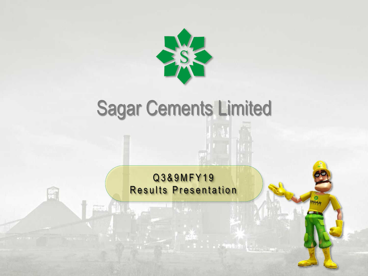

# Sagar Cements Limited

Q 3 & 9 M F Y 1 9 Results Presentation

i ∍z <del>\*m</del>\*u¥v 1 –

Œ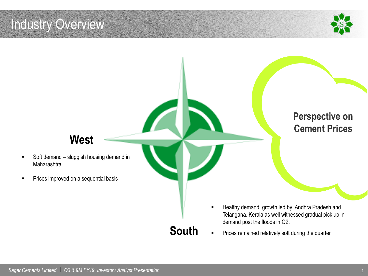### Industry Overview



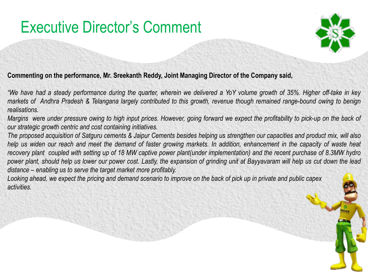## Executive Director's Comment



**Commenting on the performance, Mr. Sreekanth Reddy, Joint Managing Director of the Company said,**

"We have had a steady performance during the quarter, wherein we delivered a YoY volume growth of 35%. Higher off-take in key markets of Andhra Pradesh & Telangana largely contributed to this growth, revenue though remained range-bound owing to benign *realisations.*

Margins were under pressure owing to high input prices. However, going forward we expect the profitability to pick-up on the back of *our strategic growth centric and cost containing initiatives.*

The proposed acquisition of Satguru cements & Jaipur Cements besides helping us strengthen our capacities and product mix, will also help us widen our reach and meet the demand of faster growing markets. In addition, enhancement in the capacity of waste heat recovery plant coupled with setting up of 18 MW captive power plant(under implementation) and the recent purchase of 8.3MW hydro power plant, should help us lower our power cost. Lastly, the expansion of grinding unit at Bayyavaram will help us cut down the lead *distance – enabling us to serve the target market more profitably.*

*Looking ahead, we expect the pricing and demand scenario to improve on the back of pick up in private and public capex activities.*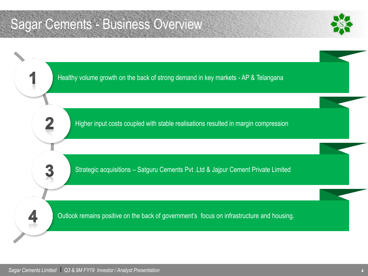### Sagar Cements - Business Overview



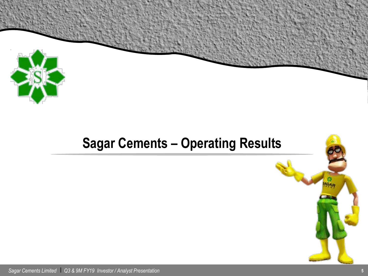

### **Sagar Cements – Operating Results**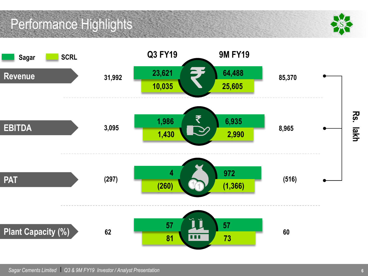### Performance Highlights

![](_page_5_Picture_1.jpeg)

![](_page_5_Figure_2.jpeg)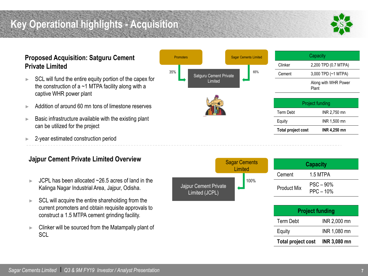### **Key Operational highlights - Acquisition**

![](_page_6_Picture_1.jpeg)

#### **Proposed Acquisition: Satguru Cement Private Limited**

- ► SCL will fund the entire equity portion of the capex for the construction of a  $\sim$  1 MTPA facility along with a captive WHR power plant
- ► Addition of around 60 mn tons of limestone reserves
- $\blacktriangleright$  Basic infrastructure available with the existing plant can be utilized for the project
- ► 2-year estimated construction period

#### **Jajpur Cement Private Limited Overview**

- $JCPI$  has been allocated  $\sim$ 26.5 acres of land in the Kalinga Nagar Industrial Area, Jajpur, Odisha.
- $\blacktriangleright$  SCL will acquire the entire shareholding from the current promoters and obtain requisite approvals to construct a 1.5 MTPA cement grinding facility.
- Clinker will be sourced from the Matampally plant of **SCL**

![](_page_6_Figure_11.jpeg)

|                                         | <b>Sagar Cements</b><br>Limited |  | <b>Capacity</b>           |                            |  |
|-----------------------------------------|---------------------------------|--|---------------------------|----------------------------|--|
|                                         |                                 |  | Cement                    | 1.5 MTPA                   |  |
| Jajpur Cement Private<br>Limited (JCPL) | 100%                            |  | <b>Product Mix</b>        | $PSC - 90%$<br>$PPC - 10%$ |  |
|                                         |                                 |  |                           | <b>Project funding</b>     |  |
|                                         |                                 |  | <b>Term Debt</b>          | INR 2,000 mn               |  |
|                                         |                                 |  | Equity                    | INR 1,080 mn               |  |
|                                         |                                 |  | <b>Total project cost</b> | <b>INR 3,080 mn</b>        |  |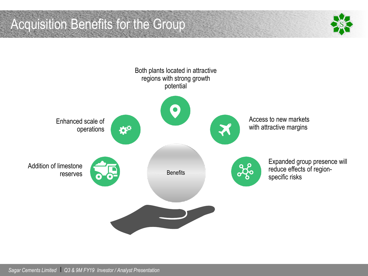Acquisition Benefits for the Group

![](_page_7_Picture_1.jpeg)

![](_page_7_Figure_2.jpeg)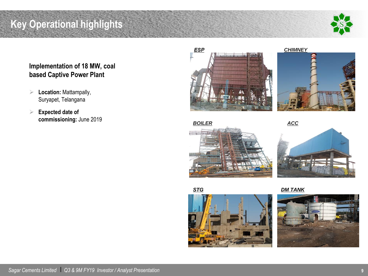### **Key Operational highlights**

![](_page_8_Picture_1.jpeg)

#### **Implementation of 18 MW, coal based Captive Power Plant**

- **Location:** Mattampally, Suryapet, Telangana
- **Expected date of commissioning:** June 2019

![](_page_8_Picture_5.jpeg)

![](_page_8_Picture_6.jpeg)

![](_page_8_Picture_7.jpeg)

![](_page_8_Picture_10.jpeg)

![](_page_8_Picture_12.jpeg)

*STG DM TANK*

![](_page_8_Picture_14.jpeg)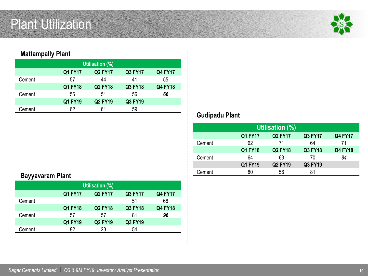### Plant Utilization

![](_page_9_Picture_1.jpeg)

#### **Mattampally Plant**

| Utilisation (%) |                                                               |                |         |                |  |  |  |
|-----------------|---------------------------------------------------------------|----------------|---------|----------------|--|--|--|
|                 | <b>Q2 FY17</b><br>Q3 FY17<br><b>Q4 FY17</b><br><b>Q1 FY17</b> |                |         |                |  |  |  |
| Cement          | 57                                                            | 44             | 41      | 55             |  |  |  |
|                 | Q1 FY18                                                       | <b>Q2 FY18</b> | Q3 FY18 | <b>Q4 FY18</b> |  |  |  |
| Cement          | 56                                                            | 51             | 56      | 66             |  |  |  |
|                 | Q1 FY19                                                       | <b>Q2 FY19</b> | Q3 FY19 |                |  |  |  |
| Cement          | 62                                                            | 61             | 59      |                |  |  |  |

#### **Gudipadu Plant**

| Utilisation (%) |                |                |                |                |  |  |
|-----------------|----------------|----------------|----------------|----------------|--|--|
|                 | Q1 FY17        | <b>Q2 FY17</b> | <b>Q3 FY17</b> | <b>Q4 FY17</b> |  |  |
| Cement          | 62             | 71             | 64             | 71             |  |  |
|                 | <b>Q1 FY18</b> | <b>Q2 FY18</b> | <b>Q3 FY18</b> | <b>Q4 FY18</b> |  |  |
| Cement          | 64             | 63             | 70             | 84             |  |  |
|                 | Q1 FY19        | <b>Q2 FY19</b> | Q3 FY19        |                |  |  |
| Cement          | 80             | 56             | 81             |                |  |  |

#### **Bayyavaram Plant**

| Utilisation (%) |                |                |         |                |  |  |
|-----------------|----------------|----------------|---------|----------------|--|--|
|                 | <b>Q1 FY17</b> | <b>Q2 FY17</b> | Q3 FY17 | <b>Q4 FY17</b> |  |  |
| Cement          |                |                | 51      | 68             |  |  |
|                 | Q1 FY18        | <b>Q2 FY18</b> | Q3 FY18 | <b>Q4 FY18</b> |  |  |
| Cement          | 57             | 57             | 81      | 96             |  |  |
|                 | Q1 FY19        | <b>Q2 FY19</b> | Q3 FY19 |                |  |  |
| Cement          | 82             | 23             | 54      |                |  |  |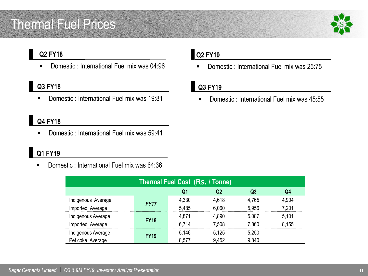### Thermal Fuel Prices

![](_page_10_Picture_1.jpeg)

#### **Q2 FY18**

Domestic : International Fuel mix was 04:96

#### **Q3 FY18**

Domestic: International Fuel mix was 19:81

#### **Q4 FY18**

**Domestic : International Fuel mix was 59:41** 

### **Q1 FY19**

Domestic: International Fuel mix was 64:36

| <b>Thermal Fuel Cost (Rs. / Tonne)</b> |             |       |       |                |       |  |
|----------------------------------------|-------------|-------|-------|----------------|-------|--|
|                                        |             | Q1    | Q2    | Q <sub>3</sub> | Q4    |  |
| Indigenous Average                     |             | 4,330 | 4,618 | 4,765          | 4,904 |  |
| Imported Average                       | <b>FY17</b> | 5.485 | 6,060 | 5.956          | 7,201 |  |
| Indigenous Average                     |             | 4,871 | 4,890 | 5.087          | 5.101 |  |
| Imported Average                       | <b>FY18</b> | 6.714 | 7,508 | 7,860          | 8,155 |  |
| Indigenous Average                     | <b>FY19</b> | 5,146 | 5,125 | 5,250          |       |  |
| Pet coke Average                       |             | 8,577 | 9,452 | 9,840          |       |  |

#### **Q2 FY19**

Domestic : International Fuel mix was 25:75

#### **Q3 FY19**

Domestic: International Fuel mix was 45:55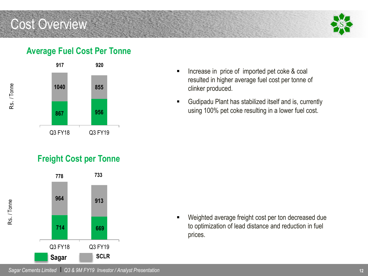### Cost Overview

![](_page_11_Picture_1.jpeg)

#### **Average Fuel Cost Per Tonne**

![](_page_11_Figure_3.jpeg)

#### **Freight Cost per Tonne**

![](_page_11_Figure_5.jpeg)

- **If** Increase in price of imported pet coke & coal resulted in higher average fuel cost per tonne of clinker produced.
- Gudipadu Plant has stabilized itself and is, currently using 100% pet coke resulting in a lower fuel cost.

 Weighted average freight cost per ton decreased due to optimization of lead distance and reduction in fuel prices.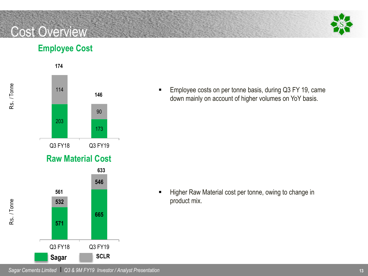### Cost Overview

Rs. / Tonne

Rs. / Tonne

![](_page_12_Picture_1.jpeg)

#### **Employee Cost**

![](_page_12_Figure_3.jpeg)

**Employee costs on per tonne basis, during Q3 FY 19, came** down mainly on account of higher volumes on YoY basis.

Higher Raw Material cost per tonne, owing to change in product mix.

*Sagar Cements Limited* l *Q3 & 9M FY19 Investor / Analyst Presentation*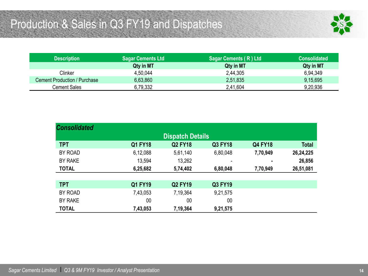![](_page_13_Picture_1.jpeg)

| <b>Description</b>           | ∣ Sagar Cements Ltd <sup>∣</sup> | Sagar Cements (R) Ltd | <b>Consolidated</b> |
|------------------------------|----------------------------------|-----------------------|---------------------|
|                              | Qty in MT                        | Qty in MT             | Qty in MT           |
| Clinker                      | 4,50,044                         | 2,44,305              | 6,94,349            |
| Cement Production / Purchase | 6,63,860                         | 2,51,835              | 9,15,695            |
| Cement Sales                 | 6,79,332                         | 2,41,604              | 9,20,936            |

| <b>Consolidated</b> |                |                         |                |                |              |
|---------------------|----------------|-------------------------|----------------|----------------|--------------|
|                     |                | <b>Dispatch Details</b> |                |                |              |
| <b>TPT</b>          | <b>Q1 FY18</b> | <b>Q2 FY18</b>          | <b>Q3 FY18</b> | <b>Q4 FY18</b> | <b>Total</b> |
| BY ROAD             | 6,12,088       | 5,61,140                | 6,80,048       | 7,70,949       | 26,24,225    |
| <b>BY RAKE</b>      | 13,594         | 13,262                  |                | ۰              | 26,856       |
| <b>TOTAL</b>        | 6,25,682       | 5,74,402                | 6,80,048       | 7,70,949       | 26,51,081    |
|                     |                |                         |                |                |              |
| <b>TPT</b>          | <b>Q1 FY19</b> | <b>Q2 FY19</b>          | <b>Q3 FY19</b> |                |              |
| BY ROAD             | 7,43,053       | 7,19,364                | 9,21,575       |                |              |
| <b>BY RAKE</b>      | 00             | 00                      | 00             |                |              |
| <b>TOTAL</b>        | 7,43,053       | 7,19,364                | 9,21,575       |                |              |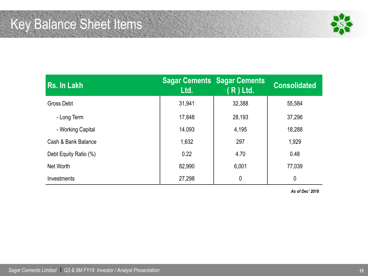![](_page_14_Picture_1.jpeg)

| Rs. In Lakh           | Ltd.   | <b>Sagar Cements Sagar Cements</b><br>$R$ ) Ltd. | <b>Consolidated</b> |
|-----------------------|--------|--------------------------------------------------|---------------------|
| <b>Gross Debt</b>     | 31,941 | 32,388                                           | 55,584              |
| - Long Term           | 17,848 | 28,193                                           | 37,296              |
| - Working Capital     | 14,093 | 4,195                                            | 18,288              |
| Cash & Bank Balance   | 1,632  | 297                                              | 1,929               |
| Debt Equity Ratio (%) | 0.22   | 4.70                                             | 0.48                |
| Net Worth             | 82,990 | 6,001                                            | 77,039              |
| Investments           | 27,298 | 0                                                | $\mathbf 0$         |

*As of Dec' 2018*